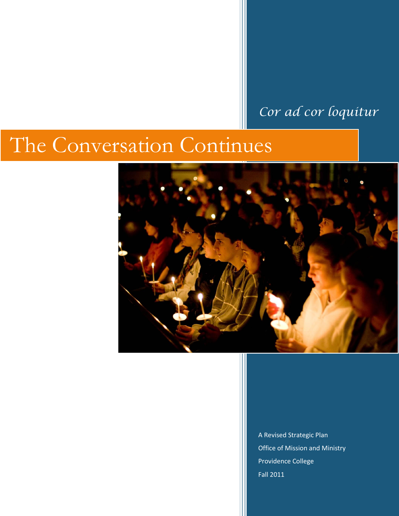# *Cor ad cor loquitur*

# The Conversation Continues



A Revised Strategic Plan Office of Mission and Ministry Providence College Fall 2011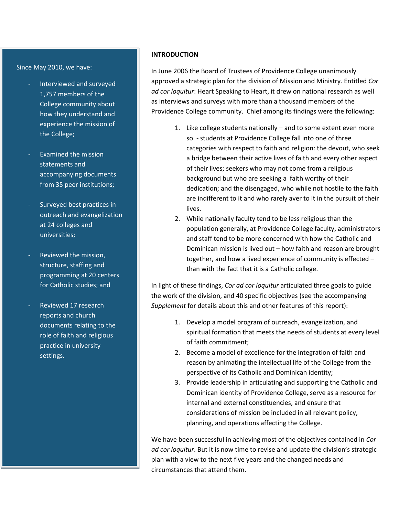#### Since May 2010, we have:

- Interviewed and surveyed 1,757 members of the College community about how they understand and experience the mission of the College;
- Examined the mission statements and accompanying documents from 35 peer institutions;
- Surveyed best practices in outreach and evangelization at 24 colleges and universities;
- Reviewed the mission, structure, staffing and programming at 20 centers for Catholic studies; and
- Reviewed 17 research reports and church documents relating to the role of faith and religious practice in university settings.

#### **INTRODUCTION**

In June 2006 the Board of Trustees of Providence College unanimously approved a strategic plan for the division of Mission and Ministry. Entitled *Cor ad cor loquitur*: Heart Speaking to Heart, it drew on national research as well as interviews and surveys with more than a thousand members of the Providence College community. Chief among its findings were the following:

- 1. Like college students nationally and to some extent even more so - students at Providence College fall into one of three categories with respect to faith and religion: the devout, who seek a bridge between their active lives of faith and every other aspect of their lives; seekers who may not come from a religious background but who are seeking a faith worthy of their dedication; and the disengaged, who while not hostile to the faith are indifferent to it and who rarely aver to it in the pursuit of their lives.
- 2. While nationally faculty tend to be less religious than the population generally, at Providence College faculty, administrators and staff tend to be more concerned with how the Catholic and Dominican mission is lived out – how faith and reason are brought together, and how a lived experience of community is effected – than with the fact that it is a Catholic college.

In light of these findings, *Cor ad cor loquitur* articulated three goals to guide the work of the division, and 40 specific objectives (see the accompanying *Supplement* for details about this and other features of this report):

- 1. Develop a model program of outreach, evangelization, and spiritual formation that meets the needs of students at every level of faith commitment;
- 2. Become a model of excellence for the integration of faith and reason by animating the intellectual life of the College from the perspective of its Catholic and Dominican identity;
- 3. Provide leadership in articulating and supporting the Catholic and Dominican identity of Providence College, serve as a resource for internal and external constituencies, and ensure that considerations of mission be included in all relevant policy, planning, and operations affecting the College.

We have been successful in achieving most of the objectives contained in *Cor ad cor loquitur*. But it is now time to revise and update the division's strategic plan with a view to the next five years and the changed needs and circumstances that attend them.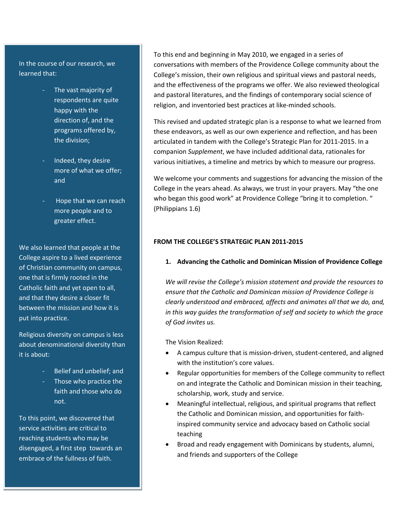In the course of our research, we learned that:

- The vast majority of respondents are quite happy with the direction of, and the programs offered by, the division;
- Indeed, they desire more of what we offer; and
- Hope that we can reach more people and to greater effect.

We also learned that people at the College aspire to a lived experience of Christian community on campus, one that is firmly rooted in the Catholic faith and yet open to all, and that they desire a closer fit between the mission and how it is put into practice.

Religious diversity on campus is less about denominational diversity than it is about:

- Belief and unbelief; and
- Those who practice the faith and those who do not.

To this point, we discovered that service activities are critical to reaching students who may be disengaged, a first step towards an embrace of the fullness of faith.

To this end and beginning in May 2010, we engaged in a series of conversations with members of the Providence College community about the College's mission, their own religious and spiritual views and pastoral needs, and the effectiveness of the programs we offer. We also reviewed theological and pastoral literatures, and the findings of contemporary social science of religion, and inventoried best practices at like-minded schools.

This revised and updated strategic plan is a response to what we learned from these endeavors, as well as our own experience and reflection, and has been articulated in tandem with the College's Strategic Plan for 2011-2015. In a companion *Supplement*, we have included additional data, rationales for various initiatives, a timeline and metrics by which to measure our progress.

We welcome your comments and suggestions for advancing the mission of the College in the years ahead. As always, we trust in your prayers. May "the one who began this good work" at Providence College "bring it to completion. " (Philippians 1.6)

# **FROM THE COLLEGE'S STRATEGIC PLAN 2011-2015**

## **1. Advancing the Catholic and Dominican Mission of Providence College**

*We will revise the College's mission statement and provide the resources to ensure that the Catholic and Dominican mission of Providence College is clearly understood and embraced, affects and animates all that we do, and, in this way guides the transformation of self and society to which the grace of God invites us.*

The Vision Realized:

- A campus culture that is mission-driven, student-centered, and aligned with the institution's core values.
- Regular opportunities for members of the College community to reflect on and integrate the Catholic and Dominican mission in their teaching, scholarship, work, study and service.
- Meaningful intellectual, religious, and spiritual programs that reflect the Catholic and Dominican mission, and opportunities for faithinspired community service and advocacy based on Catholic social teaching
- Broad and ready engagement with Dominicans by students, alumni, and friends and supporters of the College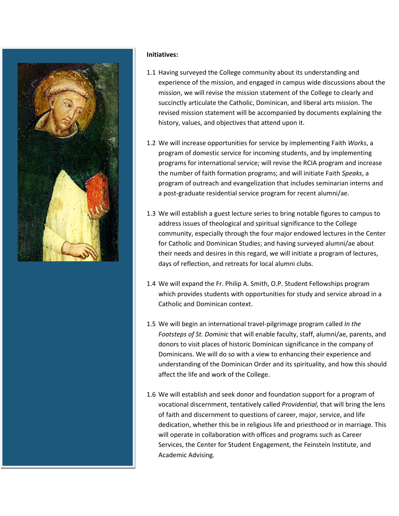

#### **Initiatives:**

- 1.1 Having surveyed the College community about its understanding and experience of the mission, and engaged in campus wide discussions about the mission, we will revise the mission statement of the College to clearly and succinctly articulate the Catholic, Dominican, and liberal arts mission. The revised mission statement will be accompanied by documents explaining the history, values, and objectives that attend upon it.
- 1.2 We will increase opportunities for service by implementing Faith *Works*, a program of domestic service for incoming students, and by implementing programs for international service; will revise the RCIA program and increase the number of faith formation programs; and will initiate Faith *Speaks*, a program of outreach and evangelization that includes seminarian interns and a post-graduate residential service program for recent alumni/ae.
- 1.3 We will establish a guest lecture series to bring notable figures to campus to address issues of theological and spiritual significance to the College community, especially through the four major endowed lectures in the Center for Catholic and Dominican Studies; and having surveyed alumni/ae about their needs and desires in this regard, we will initiate a program of lectures, days of reflection, and retreats for local alumni clubs.
- 1.4 We will expand the Fr. Philip A. Smith, O.P. Student Fellowships program which provides students with opportunities for study and service abroad in a Catholic and Dominican context.
- 1.5 We will begin an international travel-pilgrimage program called *In the Footsteps of St. Dominic* that will enable faculty, staff, alumni/ae, parents, and donors to visit places of historic Dominican significance in the company of Dominicans. We will do so with a view to enhancing their experience and understanding of the Dominican Order and its spirituality, and how this should affect the life and work of the College.
- 1.6 We will establish and seek donor and foundation support for a program of vocational discernment, tentatively called *Providential*, that will bring the lens of faith and discernment to questions of career, major, service, and life dedication, whether this be in religious life and priesthood or in marriage. This will operate in collaboration with offices and programs such as Career Services, the Center for Student Engagement, the Feinstein Institute, and Academic Advising.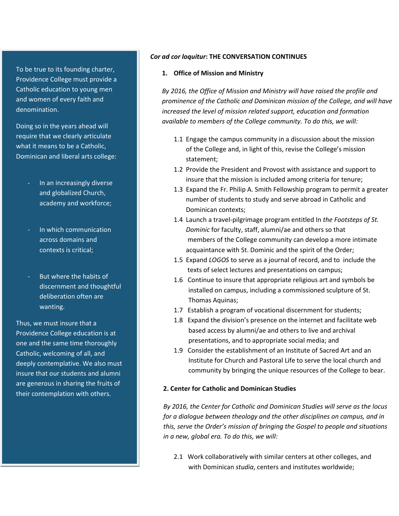To be true to its founding charter, Providence College must provide a Catholic education to young men and women of every faith and denomination.

Doing so in the years ahead will require that we clearly articulate what it means to be a Catholic, Dominican and liberal arts college:

- In an increasingly diverse and globalized Church, academy and workforce;
- In which communication across domains and contexts is critical;
- But where the habits of discernment and thoughtful deliberation often are wanting.

Thus, we must insure that a Providence College education is at one and the same time thoroughly Catholic, welcoming of all, and deeply contemplative. We also must insure that our students and alumni are generous in sharing the fruits of their contemplation with others.

#### *Cor ad cor loquitur***: THE CONVERSATION CONTINUES**

#### **1. Office of Mission and Ministry**

*By 2016, the Office of Mission and Ministry will have raised the profile and prominence of the Catholic and Dominican mission of the College, and will have increased the level of mission related support, education and formation available to members of the College community. To do this, we will:*

- 1.1 Engage the campus community in a discussion about the mission of the College and, in light of this, revise the College's mission statement;
- 1.2 Provide the President and Provost with assistance and support to insure that the mission is included among criteria for tenure;
- 1.3 Expand the Fr. Philip A. Smith Fellowship program to permit a greater number of students to study and serve abroad in Catholic and Dominican contexts;
- 1.4 Launch a travel-pilgrimage program entitled In *the Footsteps of St. Dominic* for faculty, staff, alumni/ae and others so that members of the College community can develop a more intimate acquaintance with St. Dominic and the spirit of the Order;
- 1.5 Expand *LOGOS* to serve as a journal of record, and to include the texts of select lectures and presentations on campus;
- 1.6 Continue to insure that appropriate religious art and symbols be installed on campus, including a commissioned sculpture of St. Thomas Aquinas;
- 1.7 Establish a program of vocational discernment for students;
- 1.8 Expand the division's presence on the internet and facilitate web based access by alumni/ae and others to live and archival presentations, and to appropriate social media; and
- 1.9 Consider the establishment of an Institute of Sacred Art and an Institute for Church and Pastoral Life to serve the local church and community by bringing the unique resources of the College to bear.

#### **2. Center for Catholic and Dominican Studies**

 *By 2016, the Center for Catholic and Dominican Studies will serve as the locus for a dialogue between theology and the other disciplines on campus, and in this, serve the Order's mission of bringing the Gospel to people and situations in a new, global era. To do this, we will:*

2.1 Work collaboratively with similar centers at other colleges, and with Dominican *studia*, centers and institutes worldwide;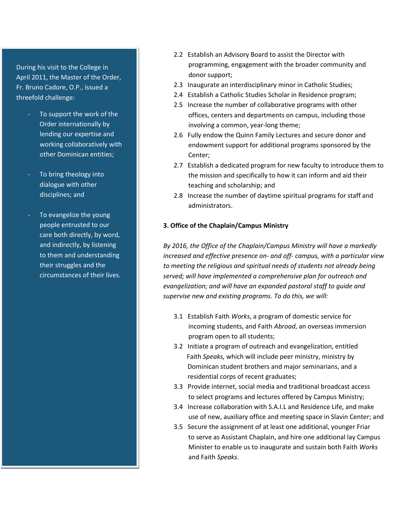During his visit to the College in April 2011, the Master of the Order, Fr. Bruno Cadore, O.P., issued a threefold challenge:

- To support the work of the Order internationally by lending our expertise and working collaboratively with other Dominican entities;
- To bring theology into dialogue with other disciplines; and
- To evangelize the young people entrusted to our care both directly, by word, and indirectly, by listening to them and understanding their struggles and the circumstances of their lives.
- 2.2 Establish an Advisory Board to assist the Director with programming, engagement with the broader community and donor support;
- 2.3 Inaugurate an interdisciplinary minor in Catholic Studies;
- 2.4 Establish a Catholic Studies Scholar in Residence program;
- 2.5 Increase the number of collaborative programs with other offices, centers and departments on campus, including those involving a common, year-long theme;
- 2.6 Fully endow the Quinn Family Lectures and secure donor and endowment support for additional programs sponsored by the Center;
- 2.7 Establish a dedicated program for new faculty to introduce them to the mission and specifically to how it can inform and aid their teaching and scholarship; and
- 2.8 Increase the number of daytime spiritual programs for staff and administrators.

#### **3. Office of the Chaplain/Campus Ministry**

 *By 2016, the Office of the Chaplain/Campus Ministry will have a markedly increased and effective presence on- and off- campus, with a particular view to meeting the religious and spiritual needs of students not already being served; will have implemented a comprehensive plan for outreach and evangelization; and will have an expanded pastoral staff to guide and supervise new and existing programs. To do this, we will:*

- 3.1 Establish Faith *Works*, a program of domestic service for incoming students, and Faith *Abroad*, an overseas immersion program open to all students;
- 3.2 Initiate a program of outreach and evangelization, entitled Faith *Speaks,* which will include peer ministry, ministry by Dominican student brothers and major seminarians, and a residential corps of recent graduates;
- 3.3 Provide internet, social media and traditional broadcast access to select programs and lectures offered by Campus Ministry;
- 3.4 Increase collaboration with S.A.I.L and Residence Life, and make use of new, auxiliary office and meeting space in Slavin Center; and
- 3.5 Secure the assignment of at least one additional, younger Friar to serve as Assistant Chaplain, and hire one additional lay Campus Minister to enable us to inaugurate and sustain both Faith *Works* and Faith *Speaks*.